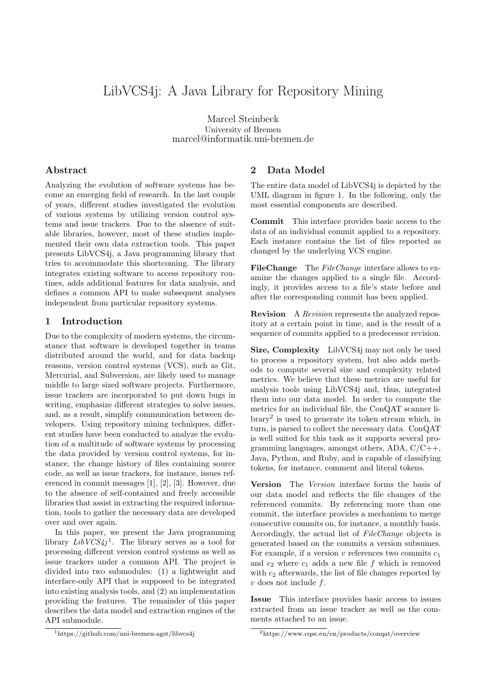# LibVCS4j: A Java Library for Repository Mining

Marcel Steinbeck University of Bremen marcel@informatik.uni-bremen.de

## Abstract

Analyzing the evolution of software systems has become an emerging field of research. In the last couple of years, different studies investigated the evolution of various systems by utilizing version control systems and issue trackers. Due to the absence of suitable libraries, however, most of these studies implemented their own data extraction tools. This paper presents LibVCS4j, a Java programming library that tries to accommodate this shortcoming. The library integrates existing software to access repository routines, adds additional features for data analysis, and defines a common API to make subsequent analyses independent from particular repository systems.

#### 1 Introduction

Due to the complexity of modern systems, the circumstance that software is developed together in teams distributed around the world, and for data backup reasons, version control systems (VCS), such as Git, Mercurial, and Subversion, are likely used to manage middle to large sized software projects. Furthermore, issue trackers are incorporated to put down bugs in writing, emphasize different strategies to solve issues, and, as a result, simplify communication between developers. Using repository mining techniques, different studies have been conducted to analyze the evolution of a multitude of software systems by processing the data provided by version control systems, for instance, the change history of files containing source code, as well as issue trackers, for instance, issues referenced in commit messages [\[1\]](#page-1-0), [\[2\]](#page-1-1), [\[3\]](#page-1-2). However, due to the absence of self-contained and freely accessible libraries that assist in extracting the required information, tools to gather the necessary data are developed over and over again.

In this paper, we present the Java programming library  $LibVCS4j<sup>1</sup>$  $LibVCS4j<sup>1</sup>$  $LibVCS4j<sup>1</sup>$ . The library serves as a tool for processing different version control systems as well as issue trackers under a common API. The project is divided into two submodules: (1) a lightweight and interface-only API that is supposed to be integrated into existing analysis tools, and (2) an implementation providing the features. The remainder of this paper describes the data model and extraction engines of the API submodule.

#### <span id="page-0-2"></span>2 Data Model

The entire data model of LibVCS4j is depicted by the UML diagram in figure [1.](#page-1-3) In the following, only the most essential components are described.

Commit This interface provides basic access to the data of an individual commit applied to a repository. Each instance contains the list of files reported as changed by the underlying VCS engine.

FileChange The FileChange interface allows to examine the changes applied to a single file. Accordingly, it provides access to a file's state before and after the corresponding commit has been applied.

Revision A Revision represents the analyzed repository at a certain point in time, and is the result of a sequence of commits applied to a predecessor revision.

Size, Complexity LibVCS4j may not only be used to process a repository system, but also adds methods to compute several size and complexity related metrics. We believe that these metrics are useful for analysis tools using LibVCS4j and, thus, integrated them into our data model. In order to compute the metrics for an individual file, the ConQAT scanner library[2](#page-0-1) is used to generate its token stream which, in turn, is parsed to collect the necessary data. ConQAT is well suited for this task as it supports several programming languages, amongst others,  $ADA, C/C++,$ Java, Python, and Ruby, and is capable of classifying tokens, for instance, comment and literal tokens.

Version The Version interface forms the basis of our data model and reflects the file changes of the referenced commits. By referencing more than one commit, the interface provides a mechanism to merge consecutive commits on, for instance, a monthly basis. Accordingly, the actual list of FileChange objects is generated based on the commits a version subsumes. For example, if a version v references two commits  $c_1$ and  $c_2$  where  $c_1$  adds a new file f which is removed with  $c_2$  afterwards, the list of file changes reported by v does not include f.

Issue This interface provides basic access to issues extracted from an issue tracker as well as the comments attached to an issue.

<span id="page-0-0"></span><sup>1</sup>https://github.com/uni-bremen-agst/libvcs4j

<span id="page-0-1"></span><sup>2</sup>https://www.cqse.eu/en/products/conqat/overview